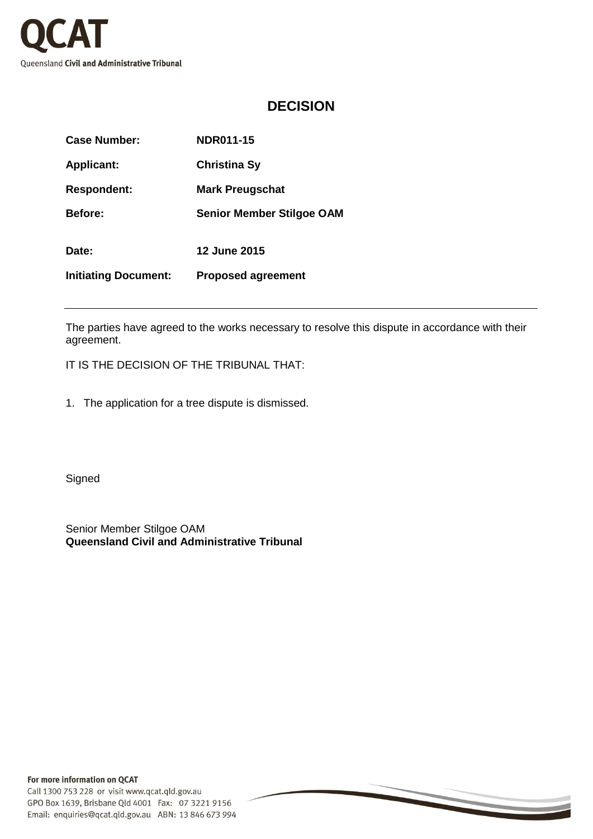

## **DECISION**

| <b>Case Number:</b>         | NDR011-15                        |
|-----------------------------|----------------------------------|
| <b>Applicant:</b>           | <b>Christina Sy</b>              |
| <b>Respondent:</b>          | <b>Mark Preugschat</b>           |
| <b>Before:</b>              | <b>Senior Member Stilgoe OAM</b> |
| Date:                       | <b>12 June 2015</b>              |
| <b>Initiating Document:</b> | <b>Proposed agreement</b>        |

The parties have agreed to the works necessary to resolve this dispute in accordance with their agreement.

IT IS THE DECISION OF THE TRIBUNAL THAT:

1. The application for a tree dispute is dismissed.

**Signed** 

Senior Member Stilgoe OAM **Queensland Civil and Administrative Tribunal**